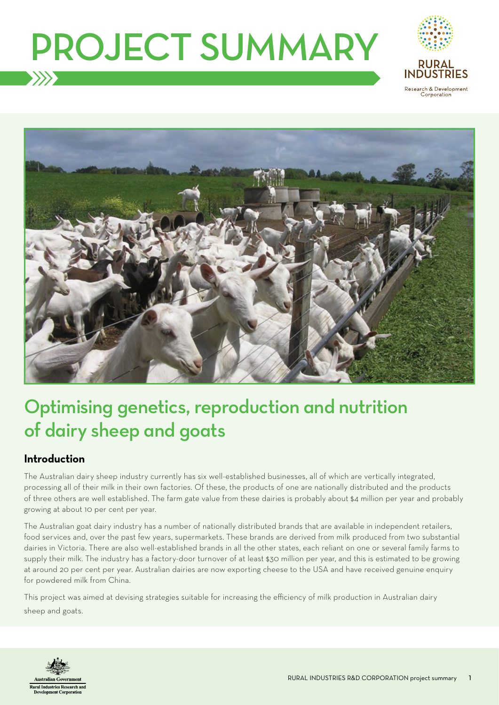# PROJECT SUMMARY





## Optimising genetics, reproduction and nutrition of dairy sheep and goats

#### **Introduction**

The Australian dairy sheep industry currently has six well-established businesses, all of which are vertically integrated, processing all of their milk in their own factories. Of these, the products of one are nationally distributed and the products of three others are well established. The farm gate value from these dairies is probably about \$4 million per year and probably growing at about 10 per cent per year.

The Australian goat dairy industry has a number of nationally distributed brands that are available in independent retailers, food services and, over the past few years, supermarkets. These brands are derived from milk produced from two substantial dairies in Victoria. There are also well-established brands in all the other states, each reliant on one or several family farms to supply their milk. The industry has a factory-door turnover of at least \$30 million per year, and this is estimated to be growing at around 20 per cent per year. Australian dairies are now exporting cheese to the USA and have received genuine enquiry for powdered milk from China.

This project was aimed at devising strategies suitable for increasing the efficiency of milk production in Australian dairy sheep and goats.

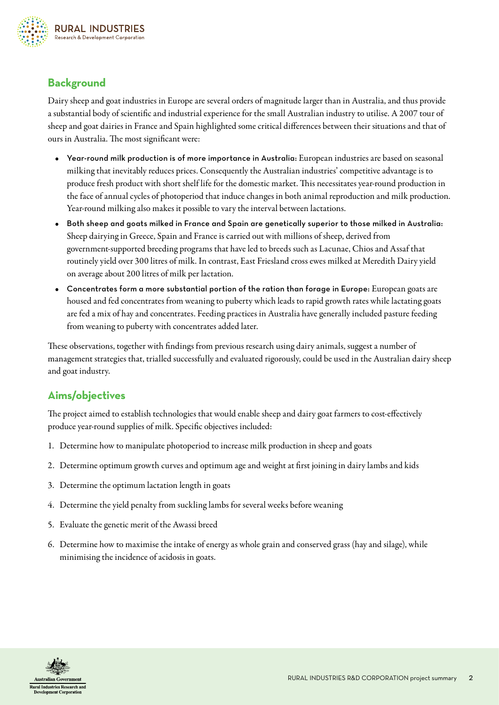

### **Background**

Dairy sheep and goat industries in Europe are several orders of magnitude larger than in Australia, and thus provide a substantial body of scientific and industrial experience for the small Australian industry to utilise. A 2007 tour of sheep and goat dairies in France and Spain highlighted some critical differences between their situations and that of ours in Australia. The most significant were:

- Year-round milk production is of more importance in Australia: European industries are based on seasonal milking that inevitably reduces prices. Consequently the Australian industries' competitive advantage is to produce fresh product with short shelf life for the domestic market. This necessitates year-round production in the face of annual cycles of photoperiod that induce changes in both animal reproduction and milk production. Year-round milking also makes it possible to vary the interval between lactations.
- Both sheep and goats milked in France and Spain are genetically superior to those milked in Australia: Sheep dairying in Greece, Spain and France is carried out with millions of sheep, derived from government-supported breeding programs that have led to breeds such as Lacunae, Chios and Assaf that routinely yield over 300 litres of milk. In contrast, East Friesland cross ewes milked at Meredith Dairy yield on average about 200 litres of milk per lactation.
- Concentrates form a more substantial portion of the ration than forage in Europe: European goats are housed and fed concentrates from weaning to puberty which leads to rapid growth rates while lactating goats are fed a mix of hay and concentrates. Feeding practices in Australia have generally included pasture feeding from weaning to puberty with concentrates added later.

These observations, together with findings from previous research using dairy animals, suggest a number of management strategies that, trialled successfully and evaluated rigorously, could be used in the Australian dairy sheep and goat industry.

#### **Aims/objectives**

The project aimed to establish technologies that would enable sheep and dairy goat farmers to cost-effectively produce year-round supplies of milk. Specific objectives included:

- 1. Determine how to manipulate photoperiod to increase milk production in sheep and goats
- 2. Determine optimum growth curves and optimum age and weight at first joining in dairy lambs and kids
- 3. Determine the optimum lactation length in goats
- 4. Determine the yield penalty from suckling lambs for several weeks before weaning
- 5. Evaluate the genetic merit of the Awassi breed
- 6. Determine how to maximise the intake of energy as whole grain and conserved grass (hay and silage), while minimising the incidence of acidosis in goats.

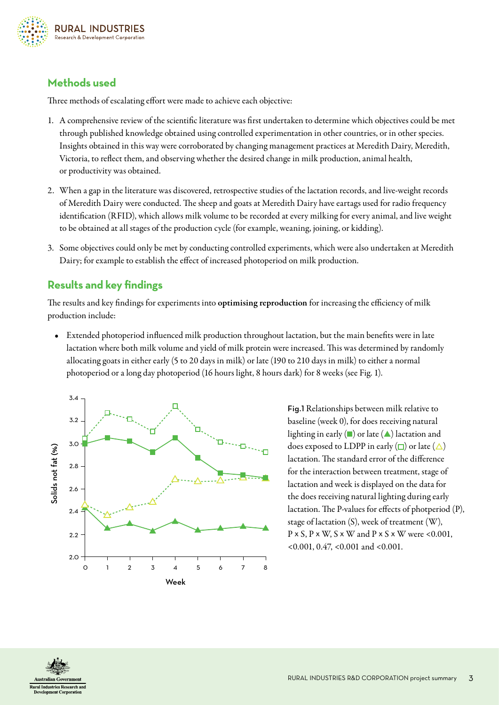

#### **Methods used**

Three methods of escalating effort were made to achieve each objective:

- 1. A comprehensive review of the scientific literature was first undertaken to determine which objectives could be met through published knowledge obtained using controlled experimentation in other countries, or in other species. Insights obtained in this way were corroborated by changing management practices at Meredith Dairy, Meredith, Victoria, to reflect them, and observing whether the desired change in milk production, animal health, or productivity was obtained.
- 2. When a gap in the literature was discovered, retrospective studies of the lactation records, and live-weight records of Meredith Dairy were conducted. The sheep and goats at Meredith Dairy have eartags used for radio frequency identification (RFID), which allows milk volume to be recorded at every milking for every animal, and live weight to be obtained at all stages of the production cycle (for example, weaning, joining, or kidding).
- 3. Some objectives could only be met by conducting controlled experiments, which were also undertaken at Meredith Dairy; for example to establish the effect of increased photoperiod on milk production.

#### **Results and key findings**

The results and key findings for experiments into **optimising reproduction** for increasing the efficiency of milk production include:

• Extended photoperiod influenced milk production throughout lactation, but the main benefits were in late lactation where both milk volume and yield of milk protein were increased. This was determined by randomly allocating goats in either early (5 to 20 days in milk) or late (190 to 210 days in milk) to either a normal photoperiod or a long day photoperiod (16 hours light, 8 hours dark) for 8 weeks (see Fig. 1).



Fig.1 Relationships between milk relative to baseline (week 0), for does receiving natural lighting in early  $(\blacksquare)$  or late  $(\blacktriangle)$  lactation and does exposed to LDPP in early  $(\Box)$  or late  $(\triangle)$ lactation. The standard error of the difference for the interaction between treatment, stage of lactation and week is displayed on the data for the does receiving natural lighting during early lactation. The P-values for effects of photperiod (P), stage of lactation (S), week of treatment (W),  $P \times S$ ,  $P \times W$ ,  $S \times W$  and  $P \times S \times W$  were <0.001, <0.001, 0.47, <0.001 and <0.001.

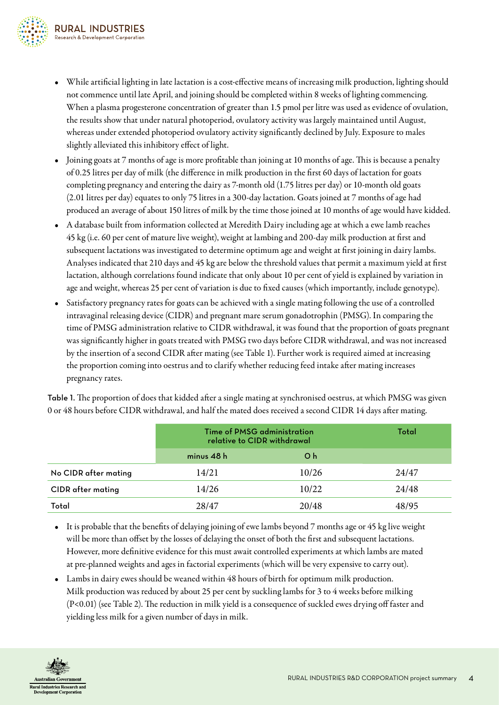

- While artificial lighting in late lactation is a cost-effective means of increasing milk production, lighting should not commence until late April, and joining should be completed within 8 weeks of lighting commencing. When a plasma progesterone concentration of greater than 1.5 pmol per litre was used as evidence of ovulation, the results show that under natural photoperiod, ovulatory activity was largely maintained until August, whereas under extended photoperiod ovulatory activity significantly declined by July. Exposure to males slightly alleviated this inhibitory effect of light.
- Joining goats at 7 months of age is more profitable than joining at 10 months of age. This is because a penalty of 0.25 litres per day of milk (the difference in milk production in the first 60 days of lactation for goats completing pregnancy and entering the dairy as 7-month old (1.75 litres per day) or 10-month old goats (2.01 litres per day) equates to only 75 litres in a 300-day lactation. Goats joined at 7 months of age had produced an average of about 150 litres of milk by the time those joined at 10 months of age would have kidded.
- A database built from information collected at Meredith Dairy including age at which a ewe lamb reaches 45 kg (i.e. 60 per cent of mature live weight), weight at lambing and 200-day milk production at first and subsequent lactations was investigated to determine optimum age and weight at first joining in dairy lambs. Analyses indicated that 210 days and 45 kg are below the threshold values that permit a maximum yield at first lactation, although correlations found indicate that only about 10 per cent of yield is explained by variation in age and weight, whereas 25 per cent of variation is due to fixed causes (which importantly, include genotype).
- Satisfactory pregnancy rates for goats can be achieved with a single mating following the use of a controlled intravaginal releasing device (CIDR) and pregnant mare serum gonadotrophin (PMSG). In comparing the time of PMSG administration relative to CIDR withdrawal, it was found that the proportion of goats pregnant was significantly higher in goats treated with PMSG two days before CIDR withdrawal, and was not increased by the insertion of a second CIDR after mating (see Table 1). Further work is required aimed at increasing the proportion coming into oestrus and to clarify whether reducing feed intake after mating increases pregnancy rates.

Table 1. The proportion of does that kidded after a single mating at synchronised oestrus, at which PMSG was given 0 or 48 hours before CIDR withdrawal, and half the mated does received a second CIDR 14 days after mating.

|                          | Time of PMSG administration<br>relative to CIDR withdrawal | Total          |       |
|--------------------------|------------------------------------------------------------|----------------|-------|
|                          | minus $48h$                                                | O <sub>h</sub> |       |
| No CIDR after mating     | 14/21                                                      | 10/26          | 24/47 |
| <b>CIDR</b> after mating | 14/26                                                      | 10/22          | 24/48 |
| Total                    | 28/47                                                      | 20/48          | 48/95 |

- It is probable that the benefits of delaying joining of ewe lambs beyond 7 months age or 45 kg live weight will be more than offset by the losses of delaying the onset of both the first and subsequent lactations. However, more definitive evidence for this must await controlled experiments at which lambs are mated at pre-planned weights and ages in factorial experiments (which will be very expensive to carry out).
- Lambs in dairy ewes should be weaned within 48 hours of birth for optimum milk production. Milk production was reduced by about 25 per cent by suckling lambs for 3 to 4 weeks before milking (P<0.01) (see Table 2). The reduction in milk yield is a consequence of suckled ewes drying off faster and yielding less milk for a given number of days in milk.

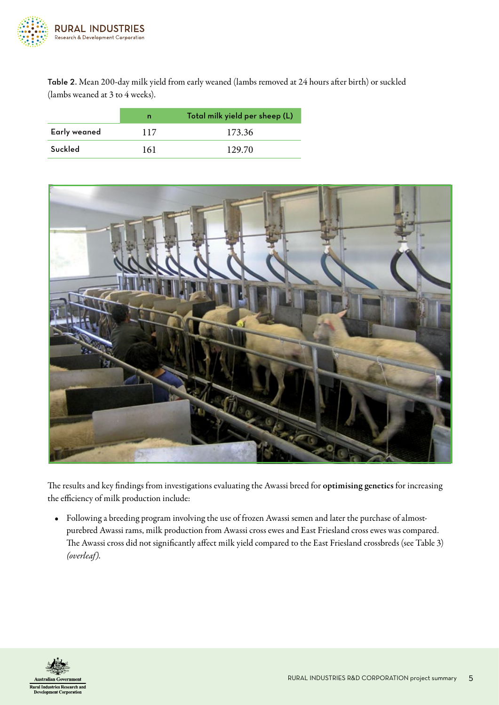

Table 2. Mean 200-day milk yield from early weaned (lambs removed at 24 hours after birth) or suckled (lambs weaned at 3 to 4 weeks).

|              | n   | Total milk yield per sheep (L) |  |  |
|--------------|-----|--------------------------------|--|--|
| Early weaned | 117 | 173.36                         |  |  |
| Suckled      | 161 | 129.70                         |  |  |



The results and key findings from investigations evaluating the Awassi breed for optimising genetics for increasing the efficiency of milk production include:

• Following a breeding program involving the use of frozen Awassi semen and later the purchase of almostpurebred Awassi rams, milk production from Awassi cross ewes and East Friesland cross ewes was compared. The Awassi cross did not significantly affect milk yield compared to the East Friesland crossbreds (see Table 3) *(overleaf).*

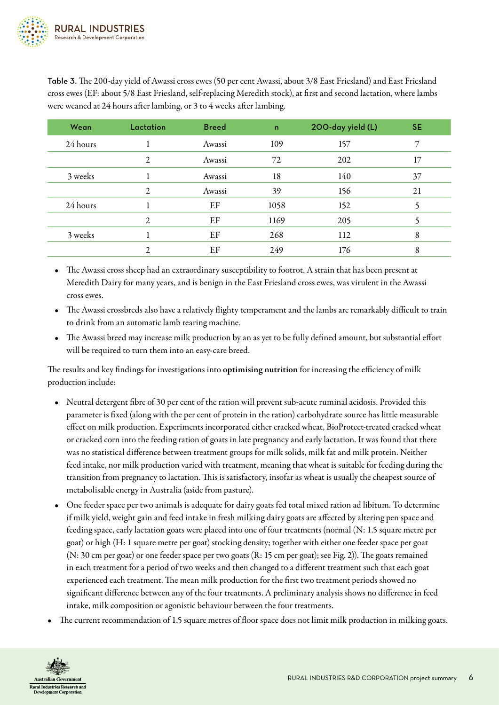

Table 3. The 200-day yield of Awassi cross ewes (50 per cent Awassi, about 3/8 East Friesland) and East Friesland cross ewes (EF: about 5/8 East Friesland, self-replacing Meredith stock), at first and second lactation, where lambs were weaned at 24 hours after lambing, or 3 to 4 weeks after lambing.

| Wean     | Lactation | <b>Breed</b> | $\mathbf n$ | 200-day yield (L) | <b>SE</b> |
|----------|-----------|--------------|-------------|-------------------|-----------|
| 24 hours |           | Awassi       | 109         | 157               | 7         |
|          | 2         | Awassi       | 72          | 202               | 17        |
| 3 weeks  |           | Awassi       | 18          | 140               | 37        |
|          | 2         | Awassi       | 39          | 156               | 21        |
| 24 hours |           | EF           | 1058        | 152               |           |
|          | 2         | EF           | 1169        | 205               |           |
| 3 weeks  |           | EF           | 268         | 112               | 8         |
|          | 2         | EF           | 249         | 176               | 8         |

• The Awassi cross sheep had an extraordinary susceptibility to footrot. A strain that has been present at Meredith Dairy for many years, and is benign in the East Friesland cross ewes, was virulent in the Awassi cross ewes.

- The Awassi crossbreds also have a relatively flighty temperament and the lambs are remarkably difficult to train to drink from an automatic lamb rearing machine.
- The Awassi breed may increase milk production by an as yet to be fully defined amount, but substantial effort will be required to turn them into an easy-care breed.

The results and key findings for investigations into optimising nutrition for increasing the efficiency of milk production include:

- Neutral detergent fibre of 30 per cent of the ration will prevent sub-acute ruminal acidosis. Provided this parameter is fixed (along with the per cent of protein in the ration) carbohydrate source has little measurable effect on milk production. Experiments incorporated either cracked wheat, BioProtect-treated cracked wheat or cracked corn into the feeding ration of goats in late pregnancy and early lactation. It was found that there was no statistical difference between treatment groups for milk solids, milk fat and milk protein. Neither feed intake, nor milk production varied with treatment, meaning that wheat is suitable for feeding during the transition from pregnancy to lactation. This is satisfactory, insofar as wheat is usually the cheapest source of metabolisable energy in Australia (aside from pasture).
- One feeder space per two animals is adequate for dairy goats fed total mixed ration ad libitum. To determine if milk yield, weight gain and feed intake in fresh milking dairy goats are affected by altering pen space and feeding space, early lactation goats were placed into one of four treatments (normal (N: 1.5 square metre per goat) or high (H: 1 square metre per goat) stocking density; together with either one feeder space per goat (N: 30 cm per goat) or one feeder space per two goats (R: 15 cm per goat); see Fig. 2)). The goats remained in each treatment for a period of two weeks and then changed to a different treatment such that each goat experienced each treatment. The mean milk production for the first two treatment periods showed no significant difference between any of the four treatments. A preliminary analysis shows no difference in feed intake, milk composition or agonistic behaviour between the four treatments.
- The current recommendation of 1.5 square metres of floor space does not limit milk production in milking goats.